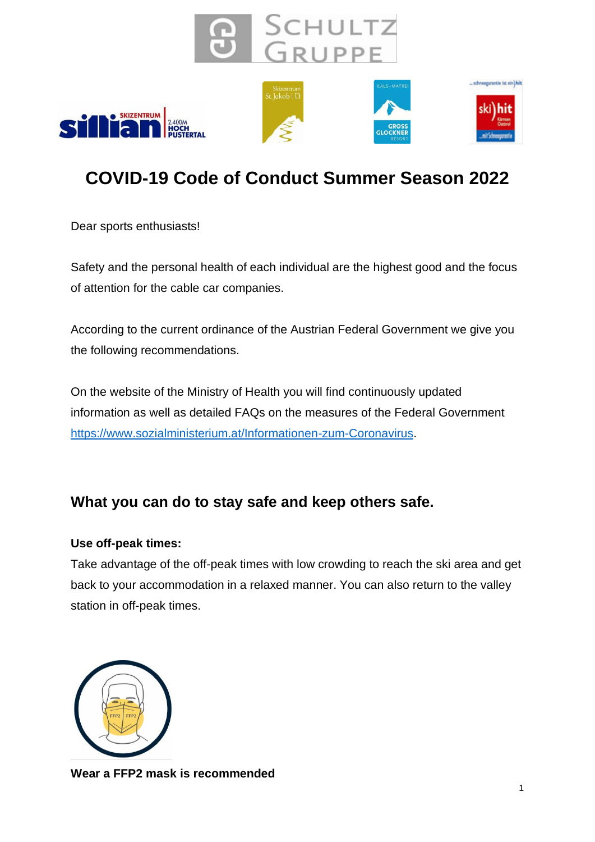









# **COVID-19 Code of Conduct Summer Season 2022**

Dear sports enthusiasts!

Safety and the personal health of each individual are the highest good and the focus of attention for the cable car companies.

According to the current ordinance of the Austrian Federal Government we give you the following recommendations.

On the website of the Ministry of Health you will find continuously updated information as well as detailed FAQs on the measures of the Federal Government [https://www.sozialministerium.at/Informationen-zum-Coronavirus.](https://www.sozialministerium.at/Informationen-zum-Coronavirus/Coronavirus---Aktuelle-Ma%C3%9Fnahmen.html)

# **What you can do to stay safe and keep others safe.**

### **Use off-peak times:**

Take advantage of the off-peak times with low crowding to reach the ski area and get back to your accommodation in a relaxed manner. You can also return to the valley station in off-peak times.



**Wear a FFP2 mask is recommended**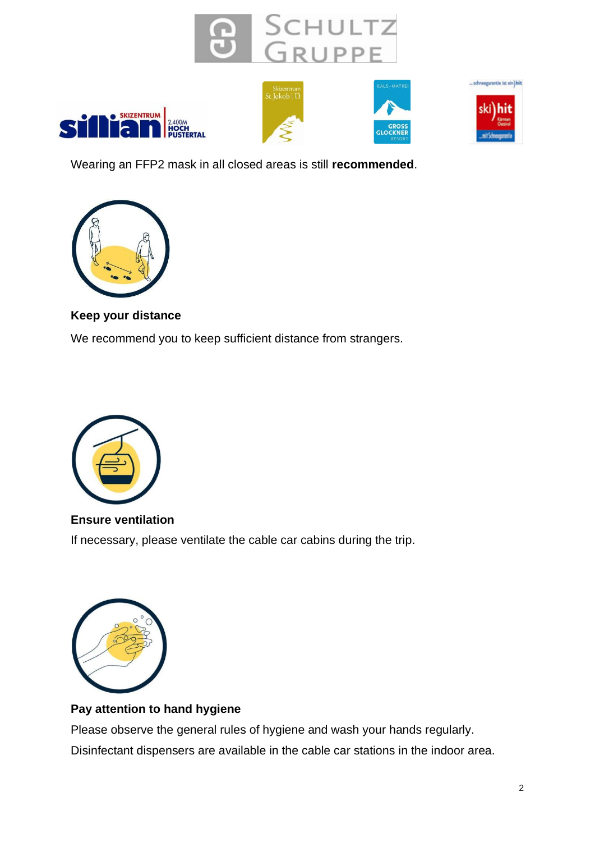









Wearing an FFP2 mask in all closed areas is still **recommended**.



#### **Keep your distance**

We recommend you to keep sufficient distance from strangers.



**Ensure ventilation** If necessary, please ventilate the cable car cabins during the trip.



#### **Pay attention to hand hygiene**

Please observe the general rules of hygiene and wash your hands regularly. Disinfectant dispensers are available in the cable car stations in the indoor area.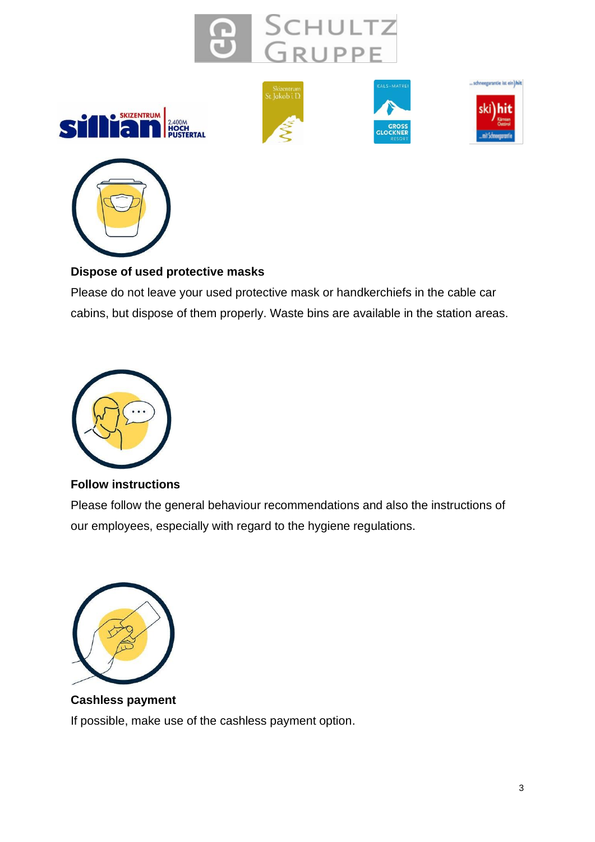











### **Dispose of used protective masks**

Please do not leave your used protective mask or handkerchiefs in the cable car cabins, but dispose of them properly. Waste bins are available in the station areas.



#### **Follow instructions**

Please follow the general behaviour recommendations and also the instructions of our employees, especially with regard to the hygiene regulations.



**Cashless payment** If possible, make use of the cashless payment option.